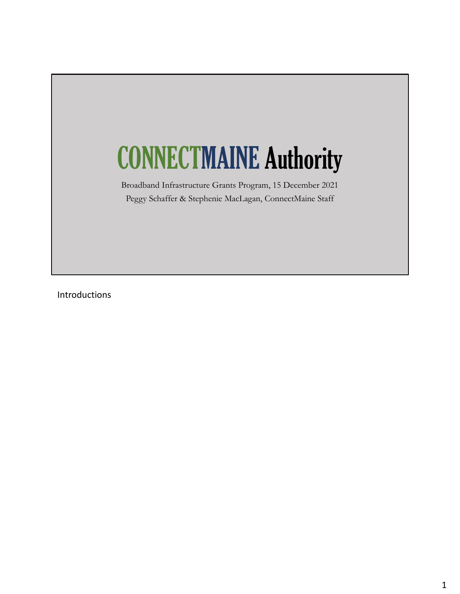# CONNECTMAINE Authority

Broadband Infrastructure Grants Program, 15 December 2021 Peggy Schaffer & Stephenie MacLagan, ConnectMaine Staff

Introductions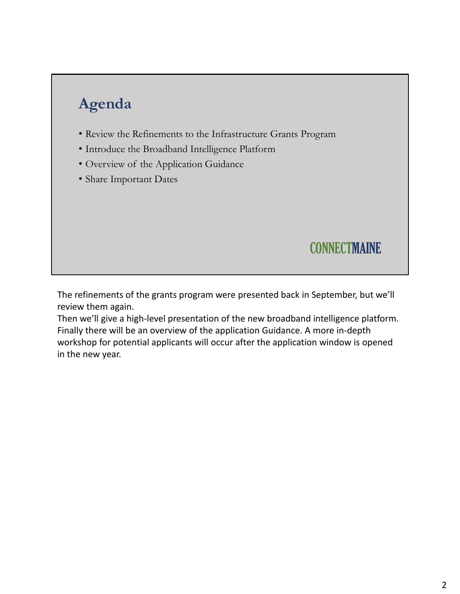# **Agenda**

- Review the Refinements to the Infrastructure Grants Program
- Introduce the Broadband Intelligence Platform
- Overview of the Application Guidance
- Share Important Dates

### **CONNECTMAINE**

The refinements of the grants program were presented back in September, but we'll review them again.

Then we'll give a high‐level presentation of the new broadband intelligence platform. Finally there will be an overview of the application Guidance. A more in‐depth workshop for potential applicants will occur after the application window is opened in the new year.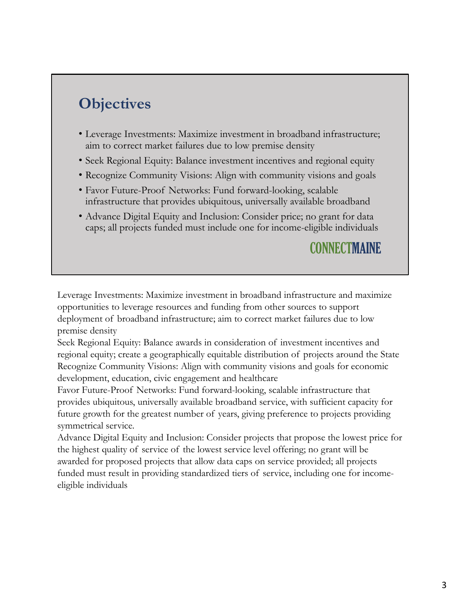# **Objectives**

- Leverage Investments: Maximize investment in broadband infrastructure; aim to correct market failures due to low premise density
- Seek Regional Equity: Balance investment incentives and regional equity
- Recognize Community Visions: Align with community visions and goals
- Favor Future-Proof Networks: Fund forward-looking, scalable infrastructure that provides ubiquitous, universally available broadband
- Advance Digital Equity and Inclusion: Consider price; no grant for data caps; all projects funded must include one for income-eligible individuals

### **CONNECTMAINE**

Leverage Investments: Maximize investment in broadband infrastructure and maximize opportunities to leverage resources and funding from other sources to support deployment of broadband infrastructure; aim to correct market failures due to low premise density

Seek Regional Equity: Balance awards in consideration of investment incentives and regional equity; create a geographically equitable distribution of projects around the State Recognize Community Visions: Align with community visions and goals for economic development, education, civic engagement and healthcare

Favor Future-Proof Networks: Fund forward-looking, scalable infrastructure that provides ubiquitous, universally available broadband service, with sufficient capacity for future growth for the greatest number of years, giving preference to projects providing symmetrical service.

Advance Digital Equity and Inclusion: Consider projects that propose the lowest price for the highest quality of service of the lowest service level offering; no grant will be awarded for proposed projects that allow data caps on service provided; all projects funded must result in providing standardized tiers of service, including one for incomeeligible individuals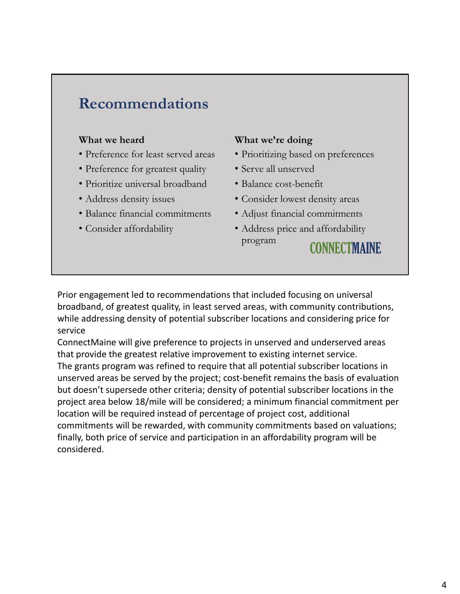### **Recommendations**

#### **What we heard**

- Preference for least served areas
- Preference for greatest quality
- Prioritize universal broadband
- Address density issues
- Balance financial commitments
- Consider affordability

#### **What we're doing**

- Prioritizing based on preferences
- Serve all unserved
- Balance cost-benefit
- Consider lowest density areas
- Adjust financial commitments
- Address price and affordability program CONNECTMAINE

Prior engagement led to recommendations that included focusing on universal broadband, of greatest quality, in least served areas, with community contributions, while addressing density of potential subscriber locations and considering price for service

ConnectMaine will give preference to projects in unserved and underserved areas that provide the greatest relative improvement to existing internet service. The grants program was refined to require that all potential subscriber locations in unserved areas be served by the project; cost‐benefit remains the basis of evaluation but doesn't supersede other criteria; density of potential subscriber locations in the project area below 18/mile will be considered; a minimum financial commitment per location will be required instead of percentage of project cost, additional commitments will be rewarded, with community commitments based on valuations; finally, both price of service and participation in an affordability program will be considered.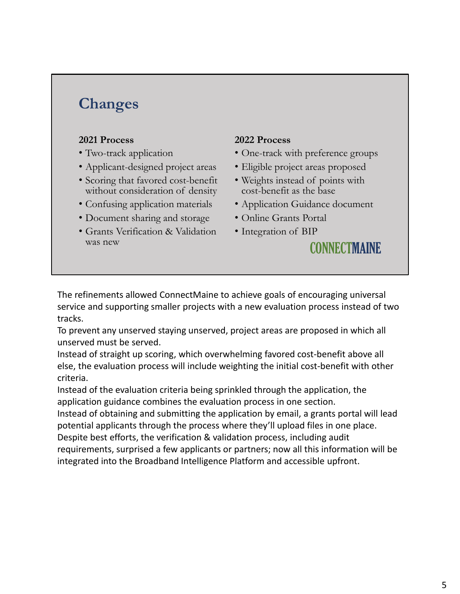## **Changes**

#### **2021 Process**

- Two-track application
- Applicant-designed project areas
- Scoring that favored cost-benefit without consideration of density
- Confusing application materials
- Document sharing and storage
- Grants Verification & Validation was new

#### **2022 Process**

- One-track with preference groups
- Eligible project areas proposed
- Weights instead of points with cost-benefit as the base
- Application Guidance document
- Online Grants Portal
- Integration of BIP

#### **CONNECTMAINE**

The refinements allowed ConnectMaine to achieve goals of encouraging universal service and supporting smaller projects with a new evaluation process instead of two tracks.

To prevent any unserved staying unserved, project areas are proposed in which all unserved must be served.

Instead of straight up scoring, which overwhelming favored cost‐benefit above all else, the evaluation process will include weighting the initial cost‐benefit with other criteria.

Instead of the evaluation criteria being sprinkled through the application, the application guidance combines the evaluation process in one section.

Instead of obtaining and submitting the application by email, a grants portal will lead potential applicants through the process where they'll upload files in one place.

Despite best efforts, the verification & validation process, including audit requirements, surprised a few applicants or partners; now all this information will be integrated into the Broadband Intelligence Platform and accessible upfront.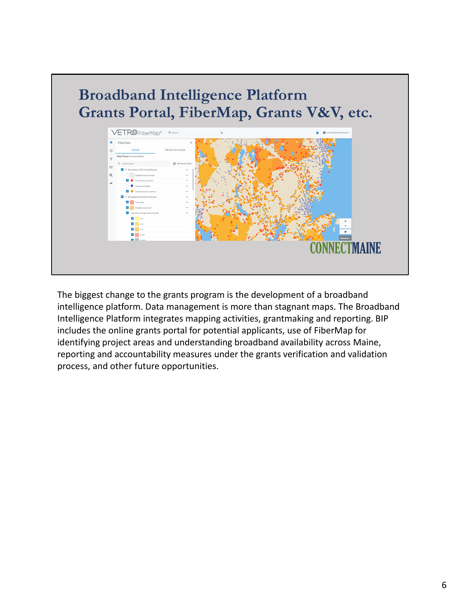

The biggest change to the grants program is the development of a broadband intelligence platform. Data management is more than stagnant maps. The Broadband Intelligence Platform integrates mapping activities, grantmaking and reporting. BIP includes the online grants portal for potential applicants, use of FiberMap for identifying project areas and understanding broadband availability across Maine, reporting and accountability measures under the grants verification and validation process, and other future opportunities.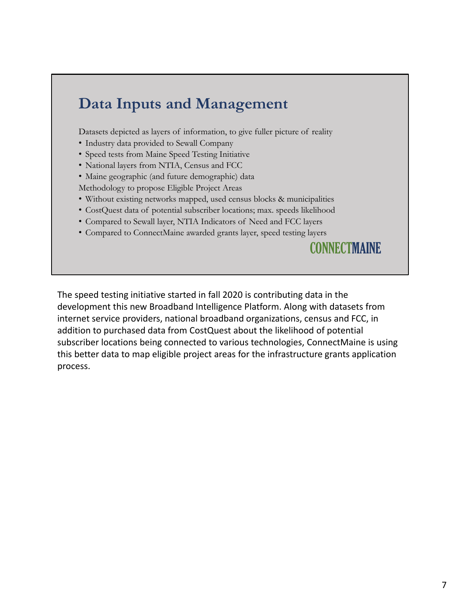## **Data Inputs and Management**

Datasets depicted as layers of information, to give fuller picture of reality

- Industry data provided to Sewall Company
- Speed tests from Maine Speed Testing Initiative
- National layers from NTIA, Census and FCC
- Maine geographic (and future demographic) data

Methodology to propose Eligible Project Areas

- Without existing networks mapped, used census blocks & municipalities
- CostQuest data of potential subscriber locations; max. speeds likelihood
- Compared to Sewall layer, NTIA Indicators of Need and FCC layers
- Compared to ConnectMaine awarded grants layer, speed testing layers

**CONNECTMAINE** 

The speed testing initiative started in fall 2020 is contributing data in the development this new Broadband Intelligence Platform. Along with datasets from internet service providers, national broadband organizations, census and FCC, in addition to purchased data from CostQuest about the likelihood of potential subscriber locations being connected to various technologies, ConnectMaine is using this better data to map eligible project areas for the infrastructure grants application process.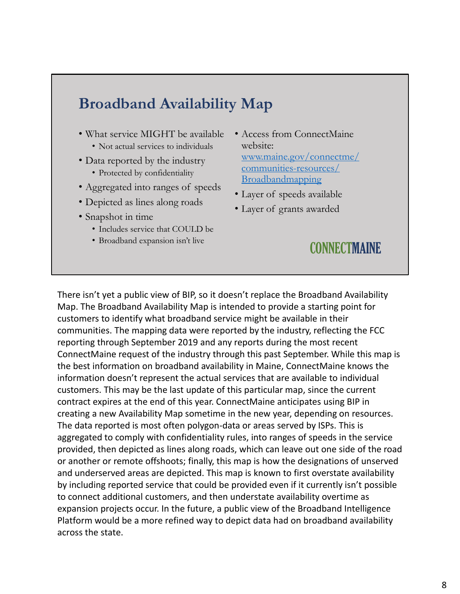### **Broadband Availability Map**

- What service MIGHT be available • Not actual services to individuals
- Data reported by the industry
	- Protected by confidentiality
- Aggregated into ranges of speeds
- Depicted as lines along roads
- Snapshot in time
	- Includes service that COULD be
	- Broadband expansion isn't live
- Access from ConnectMaine website: www.maine.gov/connectme/ communities-resources/ Broadbandmapping
- Layer of speeds available
- Layer of grants awarded

#### **CONNECTMAINE**

There isn't yet a public view of BIP, so it doesn't replace the Broadband Availability Map. The Broadband Availability Map is intended to provide a starting point for customers to identify what broadband service might be available in their communities. The mapping data were reported by the industry, reflecting the FCC reporting through September 2019 and any reports during the most recent ConnectMaine request of the industry through this past September. While this map is the best information on broadband availability in Maine, ConnectMaine knows the information doesn't represent the actual services that are available to individual customers. This may be the last update of this particular map, since the current contract expires at the end of this year. ConnectMaine anticipates using BIP in creating a new Availability Map sometime in the new year, depending on resources. The data reported is most often polygon‐data or areas served by ISPs. This is aggregated to comply with confidentiality rules, into ranges of speeds in the service provided, then depicted as lines along roads, which can leave out one side of the road or another or remote offshoots; finally, this map is how the designations of unserved and underserved areas are depicted. This map is known to first overstate availability by including reported service that could be provided even if it currently isn't possible to connect additional customers, and then understate availability overtime as expansion projects occur. In the future, a public view of the Broadband Intelligence Platform would be a more refined way to depict data had on broadband availability across the state.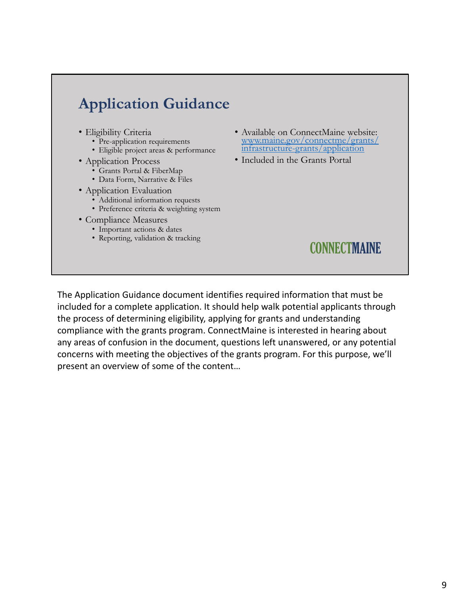# **Application Guidance**

- Eligibility Criteria
	- Pre-application requirements
	- Eligible project areas & performance
- Application Process
	- Grants Portal & FiberMap
	- Data Form, Narrative & Files
- Application Evaluation
	- Additional information requests
	- Preference criteria & weighting system
- Compliance Measures
	- Important actions & dates
	- Reporting, validation & tracking
- Available on ConnectMaine website: www.maine.gov/connectme/grants/ infrastructure-grants/application
- Included in the Grants Portal

### **CONNECTMAINE**

The Application Guidance document identifies required information that must be included for a complete application. It should help walk potential applicants through the process of determining eligibility, applying for grants and understanding compliance with the grants program. ConnectMaine is interested in hearing about any areas of confusion in the document, questions left unanswered, or any potential concerns with meeting the objectives of the grants program. For this purpose, we'll present an overview of some of the content…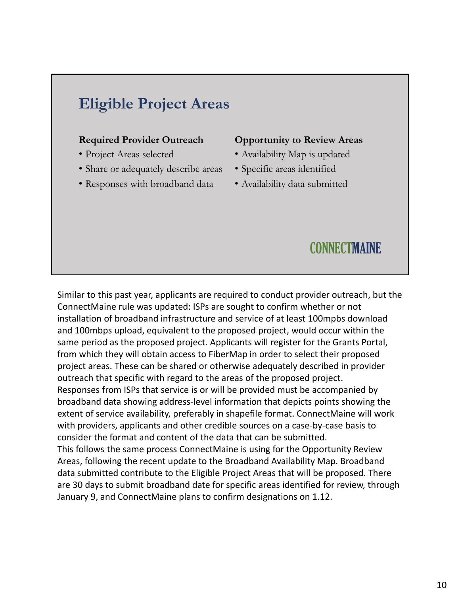# **Eligible Project Areas**

#### **Required Provider Outreach**

- Project Areas selected
- Share or adequately describe areas
- Responses with broadband data

#### **Opportunity to Review Areas**

- Availability Map is updated
- Specific areas identified
- Availability data submitted

#### **CONNECTMAINE**

Similar to this past year, applicants are required to conduct provider outreach, but the ConnectMaine rule was updated: ISPs are sought to confirm whether or not installation of broadband infrastructure and service of at least 100mpbs download and 100mbps upload, equivalent to the proposed project, would occur within the same period as the proposed project. Applicants will register for the Grants Portal, from which they will obtain access to FiberMap in order to select their proposed project areas. These can be shared or otherwise adequately described in provider outreach that specific with regard to the areas of the proposed project. Responses from ISPs that service is or will be provided must be accompanied by broadband data showing address‐level information that depicts points showing the extent of service availability, preferably in shapefile format. ConnectMaine will work with providers, applicants and other credible sources on a case‐by‐case basis to consider the format and content of the data that can be submitted. This follows the same process ConnectMaine is using for the Opportunity Review Areas, following the recent update to the Broadband Availability Map. Broadband data submitted contribute to the Eligible Project Areas that will be proposed. There are 30 days to submit broadband date for specific areas identified for review, through January 9, and ConnectMaine plans to confirm designations on 1.12.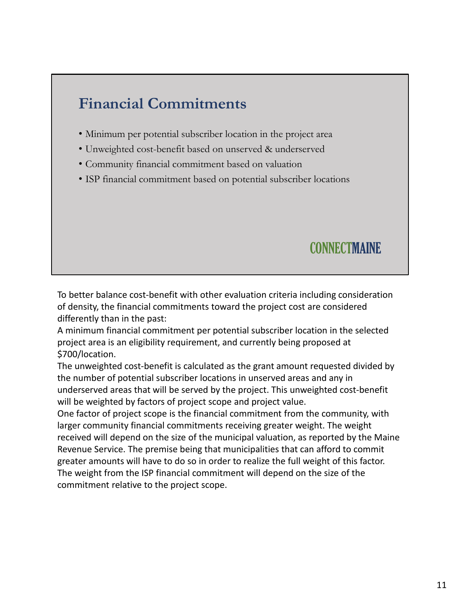# **Financial Commitments**

- Minimum per potential subscriber location in the project area
- Unweighted cost-benefit based on unserved & underserved
- Community financial commitment based on valuation
- ISP financial commitment based on potential subscriber locations

### CONNECTMAINE

To better balance cost‐benefit with other evaluation criteria including consideration of density, the financial commitments toward the project cost are considered differently than in the past:

A minimum financial commitment per potential subscriber location in the selected project area is an eligibility requirement, and currently being proposed at \$700/location.

The unweighted cost-benefit is calculated as the grant amount requested divided by the number of potential subscriber locations in unserved areas and any in underserved areas that will be served by the project. This unweighted cost‐benefit will be weighted by factors of project scope and project value.

One factor of project scope is the financial commitment from the community, with larger community financial commitments receiving greater weight. The weight received will depend on the size of the municipal valuation, as reported by the Maine Revenue Service. The premise being that municipalities that can afford to commit greater amounts will have to do so in order to realize the full weight of this factor. The weight from the ISP financial commitment will depend on the size of the commitment relative to the project scope.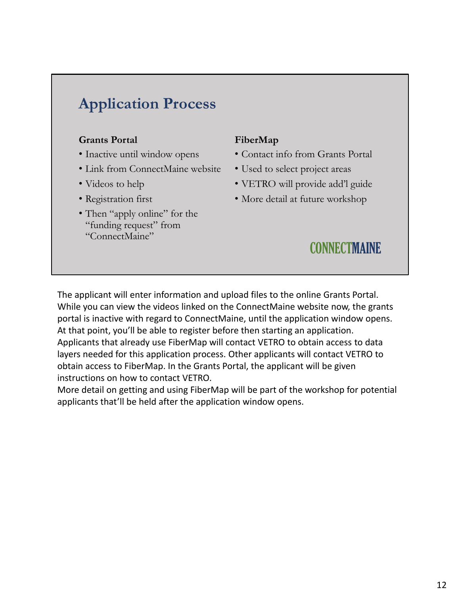# **Application Process**

#### **Grants Portal**

- Inactive until window opens
- Link from ConnectMaine website
- Videos to help
- Registration first
- Then "apply online" for the "funding request" from "ConnectMaine"

#### **FiberMap**

- Contact info from Grants Portal
- Used to select project areas
- VETRO will provide add'l guide
- More detail at future workshop

### **CONNECTMAINE**

The applicant will enter information and upload files to the online Grants Portal. While you can view the videos linked on the ConnectMaine website now, the grants portal is inactive with regard to ConnectMaine, until the application window opens. At that point, you'll be able to register before then starting an application. Applicants that already use FiberMap will contact VETRO to obtain access to data layers needed for this application process. Other applicants will contact VETRO to obtain access to FiberMap. In the Grants Portal, the applicant will be given instructions on how to contact VETRO.

More detail on getting and using FiberMap will be part of the workshop for potential applicants that'll be held after the application window opens.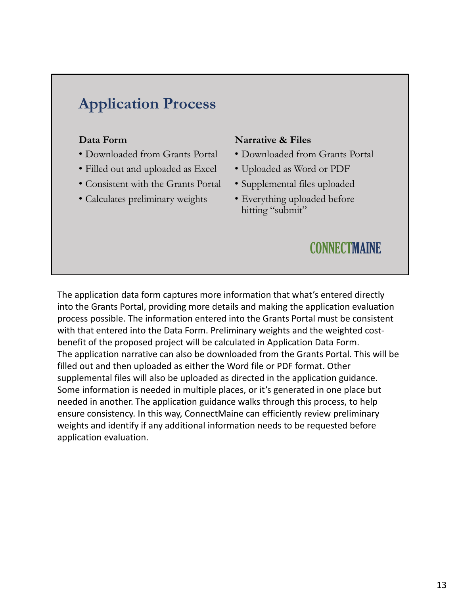# **Application Process**

#### **Data Form**

- Downloaded from Grants Portal
- Filled out and uploaded as Excel
- Consistent with the Grants Portal
- Calculates preliminary weights

#### **Narrative & Files**

- Downloaded from Grants Portal
- Uploaded as Word or PDF
- Supplemental files uploaded
- Everything uploaded before hitting "submit"

### **CONNECTMAINE**

The application data form captures more information that what's entered directly into the Grants Portal, providing more details and making the application evaluation process possible. The information entered into the Grants Portal must be consistent with that entered into the Data Form. Preliminary weights and the weighted costbenefit of the proposed project will be calculated in Application Data Form. The application narrative can also be downloaded from the Grants Portal. This will be filled out and then uploaded as either the Word file or PDF format. Other supplemental files will also be uploaded as directed in the application guidance. Some information is needed in multiple places, or it's generated in one place but needed in another. The application guidance walks through this process, to help ensure consistency. In this way, ConnectMaine can efficiently review preliminary weights and identify if any additional information needs to be requested before application evaluation.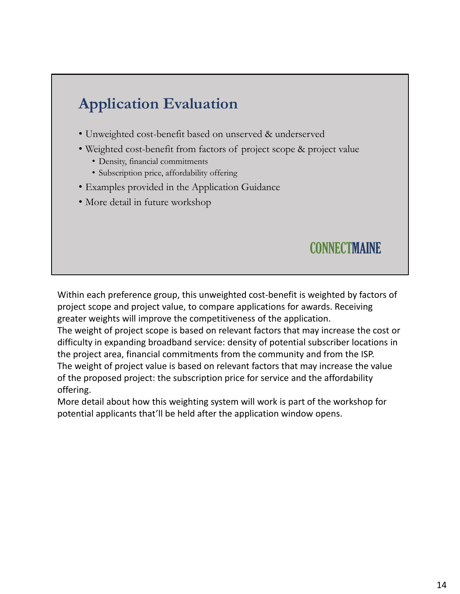# **Application Evaluation**

- Unweighted cost-benefit based on unserved & underserved
- Weighted cost-benefit from factors of project scope & project value
	- Density, financial commitments
	- Subscription price, affordability offering
- Examples provided in the Application Guidance
- More detail in future workshop

### **CONNECTMAINE**

Within each preference group, this unweighted cost-benefit is weighted by factors of project scope and project value, to compare applications for awards. Receiving greater weights will improve the competitiveness of the application.

The weight of project scope is based on relevant factors that may increase the cost or difficulty in expanding broadband service: density of potential subscriber locations in the project area, financial commitments from the community and from the ISP. The weight of project value is based on relevant factors that may increase the value of the proposed project: the subscription price for service and the affordability offering.

More detail about how this weighting system will work is part of the workshop for potential applicants that'll be held after the application window opens.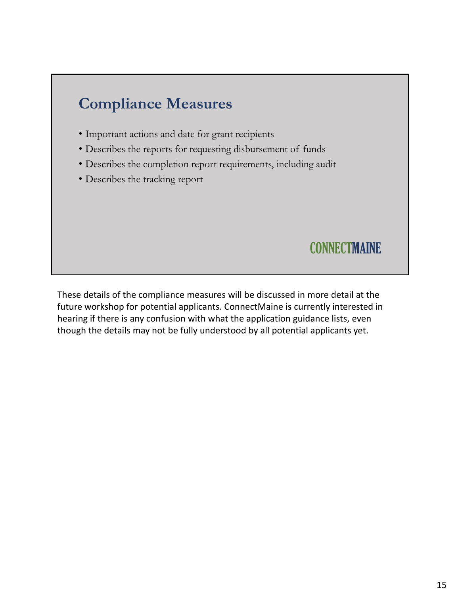

future workshop for potential applicants. ConnectMaine is currently interested in hearing if there is any confusion with what the application guidance lists, even though the details may not be fully understood by all potential applicants yet.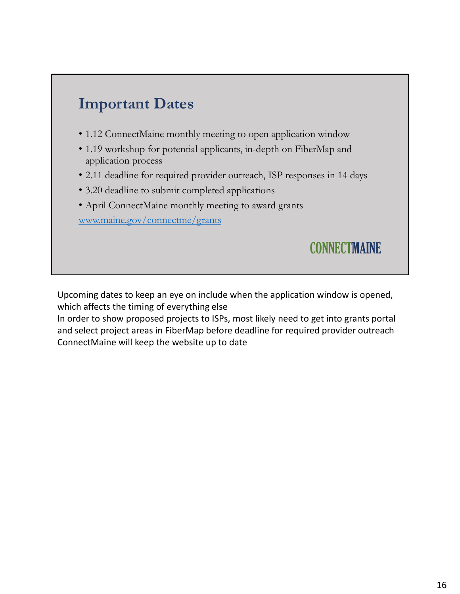

- 1.12 ConnectMaine monthly meeting to open application window
- 1.19 workshop for potential applicants, in-depth on FiberMap and application process
- 2.11 deadline for required provider outreach, ISP responses in 14 days
- 3.20 deadline to submit completed applications
- April ConnectMaine monthly meeting to award grants

www.maine.gov/connectme/grants

**CONNECTMAINE** 

Upcoming dates to keep an eye on include when the application window is opened, which affects the timing of everything else

In order to show proposed projects to ISPs, most likely need to get into grants portal and select project areas in FiberMap before deadline for required provider outreach ConnectMaine will keep the website up to date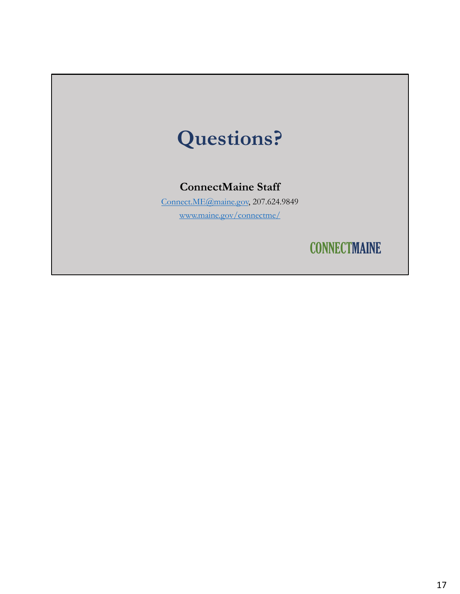# **Questions?**

#### **ConnectMaine Staff**

Connect.ME@maine.gov, 207.624.9849 www.maine.gov/connectme/

**CONNECTMAINE**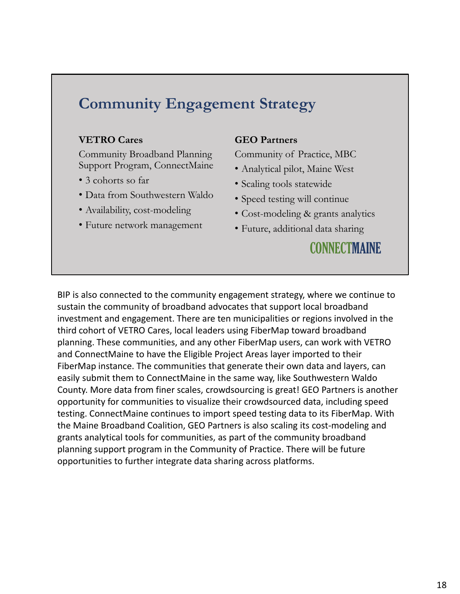## **Community Engagement Strategy**

#### **VETRO Cares**

Community Broadband Planning Support Program, ConnectMaine

- 3 cohorts so far
- Data from Southwestern Waldo
- Availability, cost-modeling
- Future network management

#### **GEO Partners**

Community of Practice, MBC

- Analytical pilot, Maine West
- Scaling tools statewide
- Speed testing will continue
- Cost-modeling & grants analytics
- Future, additional data sharing

### **CONNECTMAINE**

BIP is also connected to the community engagement strategy, where we continue to sustain the community of broadband advocates that support local broadband investment and engagement. There are ten municipalities or regions involved in the third cohort of VETRO Cares, local leaders using FiberMap toward broadband planning. These communities, and any other FiberMap users, can work with VETRO and ConnectMaine to have the Eligible Project Areas layer imported to their FiberMap instance. The communities that generate their own data and layers, can easily submit them to ConnectMaine in the same way, like Southwestern Waldo County. More data from finer scales, crowdsourcing is great! GEO Partners is another opportunity for communities to visualize their crowdsourced data, including speed testing. ConnectMaine continues to import speed testing data to its FiberMap. With the Maine Broadband Coalition, GEO Partners is also scaling its cost-modeling and grants analytical tools for communities, as part of the community broadband planning support program in the Community of Practice. There will be future opportunities to further integrate data sharing across platforms.